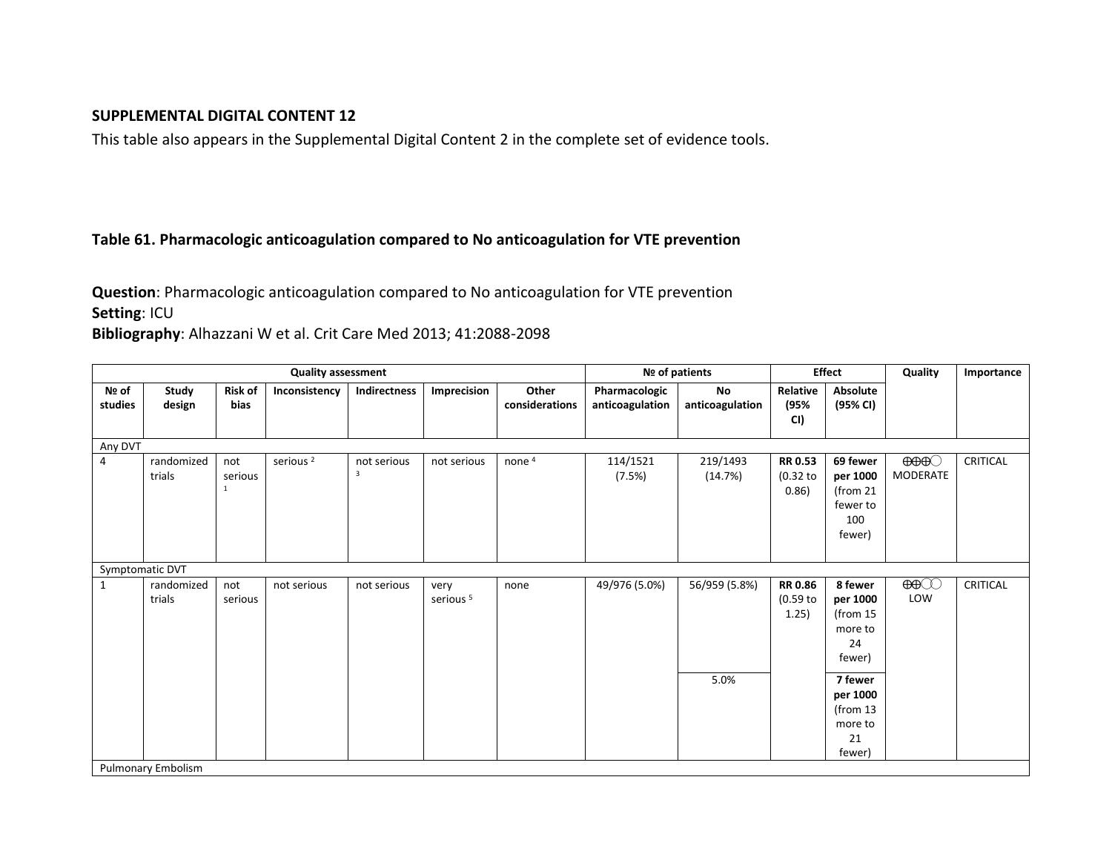## **SUPPLEMENTAL DIGITAL CONTENT 12**

This table also appears in the Supplemental Digital Content 2 in the complete set of evidence tools.

## **Table 61. Pharmacologic anticoagulation compared to No anticoagulation for VTE prevention**

**Question**: Pharmacologic anticoagulation compared to No anticoagulation for VTE prevention **Setting**: ICU

**Bibliography**: Alhazzani W et al. Crit Care Med 2013; 41:2088-2098

| <b>Quality assessment</b> |                           |                                  |                      |                                        |                              |                         | Nº of patients                   |                       | <b>Effect</b>                         |                                                                | Quality                              | Importance |
|---------------------------|---------------------------|----------------------------------|----------------------|----------------------------------------|------------------------------|-------------------------|----------------------------------|-----------------------|---------------------------------------|----------------------------------------------------------------|--------------------------------------|------------|
| Nº of<br>studies          | Study<br>design           | <b>Risk of</b><br>bias           | Inconsistency        | Indirectness                           | Imprecision                  | Other<br>considerations | Pharmacologic<br>anticoagulation | No<br>anticoagulation | Relative<br>(95%<br>CI)               | Absolute<br>(95% CI)                                           |                                      |            |
| Any DVT                   |                           |                                  |                      |                                        |                              |                         |                                  |                       |                                       |                                                                |                                      |            |
| $\overline{4}$            | randomized<br>trials      | not<br>serious<br>$\overline{1}$ | serious <sup>2</sup> | not serious<br>$\overline{\mathbf{3}}$ | not serious                  | none <sup>4</sup>       | 114/1521<br>(7.5%)               | 219/1493<br>(14.7%)   | <b>RR 0.53</b><br>$(0.32$ to<br>0.86) | 69 fewer<br>per 1000<br>(from 21)<br>fewer to<br>100<br>fewer) | $\Theta$ $\Theta$<br><b>MODERATE</b> | CRITICAL   |
| Symptomatic DVT           |                           |                                  |                      |                                        |                              |                         |                                  |                       |                                       |                                                                |                                      |            |
| $\mathbf{1}$              | randomized<br>trials      | not<br>serious                   | not serious          | not serious                            | very<br>serious <sup>5</sup> | none                    | 49/976 (5.0%)                    | 56/959 (5.8%)         | <b>RR 0.86</b><br>$(0.59$ to<br>1.25) | 8 fewer<br>per 1000<br>(from 15<br>more to<br>24<br>fewer)     | $\bigoplus$<br>LOW                   | CRITICAL   |
|                           | <b>Pulmonary Embolism</b> |                                  |                      |                                        |                              |                         |                                  | 5.0%                  |                                       | 7 fewer<br>per 1000<br>(from $13$<br>more to<br>21<br>fewer)   |                                      |            |
|                           |                           |                                  |                      |                                        |                              |                         |                                  |                       |                                       |                                                                |                                      |            |